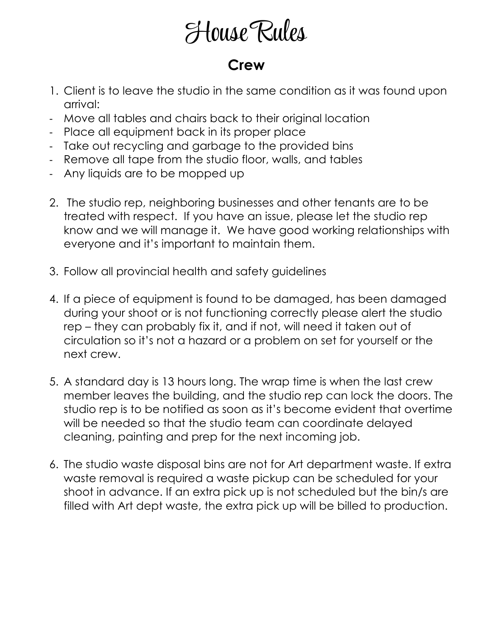# House Rules

#### **Crew**

- 1. Client is to leave the studio in the same condition as it was found upon arrival:
- Move all tables and chairs back to their original location
- Place all equipment back in its proper place
- Take out recycling and garbage to the provided bins
- Remove all tape from the studio floor, walls, and tables
- Any liquids are to be mopped up
- 2. The studio rep, neighboring businesses and other tenants are to be treated with respect. If you have an issue, please let the studio rep know and we will manage it. We have good working relationships with everyone and it's important to maintain them.
- 3. Follow all provincial health and safety guidelines
- 4. If a piece of equipment is found to be damaged, has been damaged during your shoot or is not functioning correctly please alert the studio rep – they can probably fix it, and if not, will need it taken out of circulation so it's not a hazard or a problem on set for yourself or the next crew.
- 5. A standard day is 13 hours long. The wrap time is when the last crew member leaves the building, and the studio rep can lock the doors. The studio rep is to be notified as soon as it's become evident that overtime will be needed so that the studio team can coordinate delayed cleaning, painting and prep for the next incoming job.
- 6. The studio waste disposal bins are not for Art department waste. If extra waste removal is required a waste pickup can be scheduled for your shoot in advance. If an extra pick up is not scheduled but the bin/s are filled with Art dept waste, the extra pick up will be billed to production.